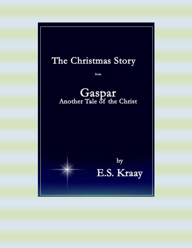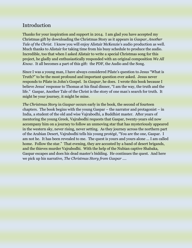## Introduction

Thanks for your inspiration and support in 2014. I am glad you have accepted my Christmas gift by downloading the Christmas Story as it appears in *Gaspar, Another Tale of the Christ*. I know you will enjoy Alistair McKenzie's audio production as well. Much thanks to Alistair for taking time from his busy schedule to produce the audio. Incredible, too that when I asked Alistair to write a special Christmas song for this project, he gladly and enthusiastically responded with an original composition *We All Know*. It all becomes a part of this gift: the PDF, the Audio and the Song.

Since I was a young man, I have always considered Pilate's question to Jesus "What is Truth?" to be the most profound and important question ever asked. Jesus never responds to Pilate in John's Gospel. In *Gaspar*, he does. I wrote this book because I believe Jesus' response to Thomas at his final dinner, "I am the way, the truth and the life." Gaspar, Another Tale of the Christ is the story of one man's search for truth. It might be your journey, it might be mine.

*The Christmas Story* in *Gaspar* occurs early in the book, the second of fourteen chapters. The book begins with the young Gaspar – the narrator and protagonist – in India, a student of the old and wise Vajrabodhi, a Buddhist master. After years of mentoring the young Greek, Vajrabodhi requests that Gaspar, twenty-years old now accompany him on a journey to follow an unmoving star that has mysteriously appeared in the western sky, never rising, never setting. As they journey across the northern part of the Arabian Desert, Vajrabodhi tells his young protégé, "You are the one, Gaspar. I am not he. It has been revealed to me. The quest is yours and yours alone … I am called home. Follow the star." That evening, they are accosted by a band of desert brigands, and the thieves murder Vajrabodhi. With the help of the Nubian captive Shabaka, Gaspar escapes and does his dead master's bidding. He continues the quest. And here we pick up his narrative, *The Christmas Story from Gaspar* ….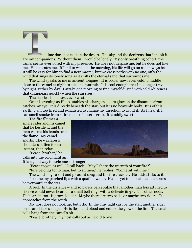ime does not exist in the desert. The sky and the denizens that inhabit it are my companions. Without them, I would be lonely. My only breathing cohort, the camel seems ever bored with my presence. He does not despise me, but he does not like me. He tolerates me. If I fail to wake in the morning, his life will go on as it always has. It will be easy for him to find a new master, but we cross paths with no one, only the wind that sings its lonely song as it shifts the eternal sand that surrounds me.

The wind speaks to me in ancient tongues. It is cooler now, even cold. I huddle close to the camel at night to steal his warmth. It is cool enough that I no longer travel by night, rather by day. I awake one morning to find myself dusted with cold whiteness that disappears quickly when the sun rises.

The star leads me west, ever west.

On this evening as Helios stables his chargers, a dim glow on the distant horizon catches my eye. It is directly beneath the star, but it is no heavenly body. It is of this earth. I am too tired and exhausted to change my direction to avoid it. As I near it, I can smell smoke from a fire made of desert scrub. It is oddly sweet.

The fire illumes a single rider and his camel that lie beside it, and the man warms his hands over the flame. My camel snorts. The wayfarer's shoulders stiffen for an instant, then relax.

"Peace, brother," he calls into the cold night air.

It is a good way to welcome a stranger.

"Peace to you as well," I call back. "May I share the warmth of your fire?" "Fire belongs to no man, but to all men," he replies. "Come sit with me."

The wind sings a soft and pleasant song and the fire crackles. He adds sticks to it.

I soothe my parched lips with a quaff of water. He has yet to look at me, but stares heavenward at the star.

A bell. In the distance – and so barely perceptible that another man less attuned to silence would never hear it  $-$  a small bell rings with a delicate jingle. The other nods. He hears it, too. It grows louder. Maybe there are two bells, or maybe two riders. It approaches from the south.

My host does not look up, but I do. In the gray light cast by the star, another rider on a camel takes shape. He is flesh and blood and enters the glow of the fire. The small bells hang from the camel's bit.

"Peace, brother," my host calls out as he did to me.

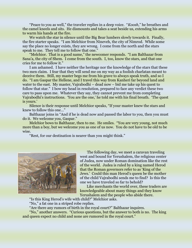"Peace to you as well," the traveler replies in a deep voice. "*Koosh*," he breathes and the camel kneels and sits. He dismounts and takes a seat beside us, extending his arms to warm his hands at the fire.

We watch the star in silence until the Big Bear lumbers slowly towards it. Finally, the fire starter speaks. "I am Melchior from Nineveh, the city of Nimrod. While some say the place no longer exists, they are wrong. I come from the north and the stars speak to me. They tell me to follow that one."

"Melchior. That is a good name," the newcomer responds. "I am Balthazar from Sana'a, the city of Shem. I come from the south. I, too, know the stars, and that one cries for me to follow it."

I am ashamed. I have neither the heritage nor the knowledge of the stars that these two men claim. I fear that they will send me on my way as a foolish charlatan meant to deceive them. Still, my master begs me from his grave to always speak truth, and so I do. "I am Gaspar the Hellene, and I travel this way from Kanheri far beyond land and water to the east. My master, Vajrabodhi – dead now – bid me take up his quest to follow that star." I bow my head in resolution, prepared to face any verdict these two care to pass upon me. Whatever they say, they cannot prevent me from completing Vajrabodhi's instructions. 'You are the one,' he told me with his final breath. 'The quest is yours.'

Silence is their response until Melchior speaks, "If your master knew the stars and knew to follow this one…"

Balthazar joins in "And if he is dead now and passed the labor to you, then you must do it. We welcome you, Gaspar."

Melchior bows to Balthazar, then to me. He smiles. "You are very young, not much more than a boy, but we welcome you as one of us now. You do not have to be old to be wise.

"Rest, for our destination is nearer than you might think."



The following day, we meet a caravan traveling west and bound for Yerushalem, the religious center of Judea, now under Roman domination like the rest of the world. Judea is ruled by a king named Herod that the Roman governors refer to as 'King of the Jews.' Could this man Herod's queen be the mother of the child Vajrabodhi sends me to find? Is this the one we have traveled so far to behold?

Like merchants the world over, these traders are knowledgeable about many things and they know Yerushalem and the people who abide there.

"Is this King Herod's wife with child?" Melchior asks.

"No," a fat one in a striped robe replies.

"Are there any rumors of birth in the royal court?" Balthazar inquires.

"No," another answers. "Curious questions, but the answer to both is no. The king and queen expect no child and none are rumored in the royal court."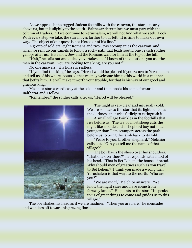As we approach the rugged Judean foothills with the caravan, the star is nearly above us, but it is slightly to the south. Balthazar determines we must part with the column of traders. "If we continue to Yerushalem, we will not find what we seek. Look. With every step we take, the star moves farther to our left. It is time to make our own way. The object of our quest is not Herod or of his line."

A group of soldiers, eight Romans and two Jews accompanies the caravan, and when we rein up our camels to follow a rocky path that leads south, one Jewish soldier gallops after us. His fellow Jew and the Romans wait for him at the top of the hill.

"Halt," he calls out and quickly 0vertakes us. "I know of the questions you ask the men in the caravan. You are looking for a king, are you not?"

No one answers. His horse is restless.

"If you find this king," he says, "Herod would be pleased if you return to Yerushalem and tell us of his whereabouts so that we may welcome him to this world in a manner that befits him. He will make it worth your trouble, for that is his way of our good and gracious king."

Melchior stares wordlessly at the soldier and then prods his camel forward. Balthazar and I follow.

"Remember," the soldier calls after us, "Herod will be pleased."



The night is very clear and unusually cold. We are so near to the star that its light banishes the darkness that tries futilely to extinguish it.

A small village twinkles in the foothills that rise before us. The cry of a lost sheep cuts the night like a blade and a shepherd boy not much younger than I am scampers across the path before us to bring the lamb back to its fold.

"Peace to you, brother shepherd," Melchior calls out. "Can you tell me the name of that village?"

The boy hauls the sheep over his shoulders. "That one over there?" he responds with a nod of his head. "That is Bet Lehem, the house of bread. Why should men of greatness such as you travel to Bet Lehem? I think you made a wrong turn. Yerushalem is that way, to the north. Who are you?"

"We are *magi*," Melchior answers. "We know the night skies and have come from faraway lands." He points to the star. "It speaks to us of great things to come and guides us to this village."

The boy shakes his head as if we are madmen. "Then you are here," he concludes and wanders off toward his grazing flock.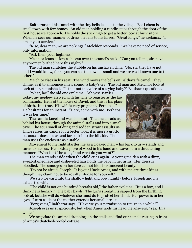Balthazar and his camel with the tiny bells lead us to the village. Bet Lehem is a small town with few homes. An old man holding a candle steps through the door of the first house we approach. He holds the stick high to get a better look at his visitors. When he sees our manner of dress, he falls to his knees. "Great kings," he exclaims. "I am at your service."

"Rise, dear man, we are no kings," Melchior responds. "We have no need of service, only information."

"Ask then, your highness."

Melchior leans as low as he can over the camel's neck. "Can you tell me, sir, have any women birthed here this night?"

The old man scratches the stubble on his unshaven chin. "No, sir, they have not, and I would know, for as you can see the town is small and we are well known one to the other."

Melchior rises in his seat. The wind moves the bells on Balthazar's camel. They chime, as if to announce a new sound, a baby's cry. The old man and Melchior look at each other, astonished. "Is that not the voice of a crying baby?" Balthazar questions.

"What, ho!" the old one exclaims. "Ah yes! Earlier today, my nephew arrived with his wife to register as the law commands. He is of the house of David, and this is his place of birth. It is true. His wife is very pregnant. Perhaps…" He hesitates for an instant. "Here, come with me. Perhaps it was her time."

The camels kneel and we dismount. The uncle leads us behind his house, through the animal stalls and into a small cave. The sour smell of dung and sodden straw assaults us. Uncle raises his candle for a better look; it is more a grotto because it does not extend far back into the hillside. The man uses the enclosure as a stable.



Movement to my right startles me as a cloaked man – his back to us – stands and turns to face us. He holds a piece of wood in his hand and waves it in a threatening manner. "Who is it?" he calls, "and what do you want?"

The man stands aside when the child cries again. A young maiden with a dirty, sweat-stained face and disheveled hair holds the baby in her arms. Her dress is bloodied. The smudges on her face cannot hide her innocent beauty.

"Do not be afraid, Joseph. It is your Uncle Amos, and with me are three kings though they claim not to be royalty. Judge for yourself."

We step forward into the shallow light and bow humbly before Joseph and his exhausted wife.

"The child is not one hundred breaths old," the father explains. "It is a boy, and I think he is hungry." The baby bawls. The girl's strength is sapped from the birthing ordeal, but she will do whatever she must do to protect her child. Her power is in her eyes. I turn aside as the mother extends her small breast.

"Forgive us," Balthazar says. "Have we your permission to return in a while?"

Joseph eyes us suspiciously, but when Amos nods his head, he answers, "Yes. In a while."

We negotiate the animal droppings in the stalls and find our camels resting in front of Amos's thatched-roofed cottage.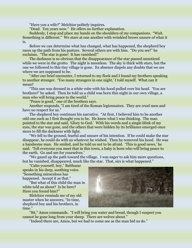"Have you a wife?" Melchior politely inquires.

"Dead. Ten years now." He offers no further explanation.

Suddenly, I stop and place my hands on the shoulders of my companions. "Wait. Something is different." We stare at one another with wrinkled brows unsure of what it is.

Before we can determine what has changed, what has happened, the shepherd boy races up the path from his pasture. Several others are with him. "Do you see!" he exclaims. "The star is gone! It has vanished!"

The darkness is so obvious that the disappearance of the star passed unnoticed while we were in the grotto. The night is moonless. The sky is thick with stars, but the one we followed to this tiny village is gone. Its absence dispels any doubts that we are where we are supposed to be.

"After our brief encounter, I returned to my flock and I found my brothers speaking to another stranger. 'Too many strangers in one night,' I told myself. What can it mean?

"This one was dressed in a white robe with his hood pulled over his head. 'You are brothers?' he asked. Then he told us a child was born this night in our own village, a man who will bring peace to the world."

"Peace is good," one of the brothers says.

Another responds, "I am tired of the Roman legionnaires. They are cruel men and have no respect for us."

The shepherd boy continues his narrative. "At first, I believed him to be another odd one such as I first thought you to be. He knew what I was thinking. The man pointed to the star and said, 'Glory to God.' With his words and a single blink of my eyes, the star was gone, and the others that were hidden by its brilliance emerged once more to fill the darkness with light.

"We fell to the ground, fearful and unsure of his intention. If he could make the star disappear, he could do with us whatever he wished. Then he removed his hood. He was a handsome man. He smiled, and he told us not to be afraid. 'This is good news,' he said. 'Tell everyone you meet that in this town, a baby is born who will bring peace to the earth. Go and see for yourselves.'

"We gazed up the path toward the village. I was eager to ask him more questions, but he vanished, disappeared, much like the star. That, sirs is what happened."

"Calm yourself, boy," Balthazar speaks in his deep, soothing voice. "Something miraculous has happened. Accept it as that."

"But what of this child the man in white told us about? Is he here? Have you found him?"

Melchior reminds me of my old master when he answers, "In time, shepherd boy and his brothers, in time."



"Sit," Amos commands. "I will bring you water and bread, though I suspect you cannot be gone long from your sheep. There are wolves about."

"Indeed there are, Amos, but we had to come see as the man bid us do."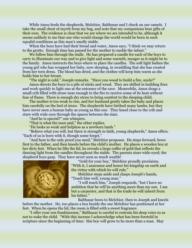While Amos feeds the shepherds, Melchior, Balthazar and I check on our camels. I take the small chest of myrrh from my bag, and note that my companions bear gifts of their own. The evidence is clear that we are where we are intended to be, although it seems unlikely to me that one who would change the world would be born in such squalid conditions as this man's smelly stable.

When the boys have had their bread and water, Amos says, "I think we may return to the grotto. Enough time has passed for the mother to suckle the infant."

We follow him through the stalls. He has prepared a candle for each of the boys to carry to illuminate our way and to give light and some warmth, meager as it might be to the family. Amos instructs the boys where to place the candles. The soft light bathes the young girl who has wrapped her baby, now sleeping, in swaddling that she has created from her torn dress. The blood has dried, and the clothes will keep him warm as she holds him to her breast.

"The night is cold," Joseph remarks. "Have you wood to build a fire, uncle?"

Amos directs the boys to a pile of sticks and wood. They are skilled in building fires and work quickly to light one at the entrance of the cave. Meanwhile, Amos drags a small crib filled with straw near enough to the fire to receive some of its heat without fear of flame. There is enough dry straw to bring comfort to the sleeping child.

The mother is too weak to rise, and her husband gently takes the baby and places him carefully on the bed of straw. The shepherds have birthed many lambs, but they have never seen a human baby as young as this one. They kneel close to the crib and stare with wide eyes through the spaces between the slats.

"And he is special?" one whispers.

"That is what the man said," the other replies.

"He looks as weak and helpless as a newborn lamb."

"Believe what you will, but there is strength in faith, young shepherds," Amos offers. "Each of us is born with it, though some forget."

"And here is the only proof you need," Melchior proposes. He steps forward, bows first to the father, and then kneels before the child's mother. He places a wooden box at her dirty feet. When he lifts the lid, he reveals a large coffer of gold that reflects the dancing light from the candles throughout the stable. The parents stare wide-eyed; the shepherd boys gasp. They have never seen so much wealth!



"Gold for your boy," Melchior proudly proclaims. "With it, I announce and honor his kingship on earth and the virtue with which he will rule."

Melchior steps aside and clasps Joseph's hands, "Teach him well, young man."

"I will teach him," Joseph responds, "but I have no ambition that he will be anything more than my son. I am but a carpenter, and that is the trade he will inherit from his father."

Balthazar bows to Melchior, then to Joseph and kneels

before the mother. He, too places a box beside the one Melchior has positioned at her feet. When he opens the lid, the room is filled with a sweet fragrance.

"I offer your son frankincense," Balthazar is careful to restrain his deep voice so as not to wake the child. "With this incense I acknowledge what has been foretold in scripture since the beginning of time: this boy will grow to be more than a man. May